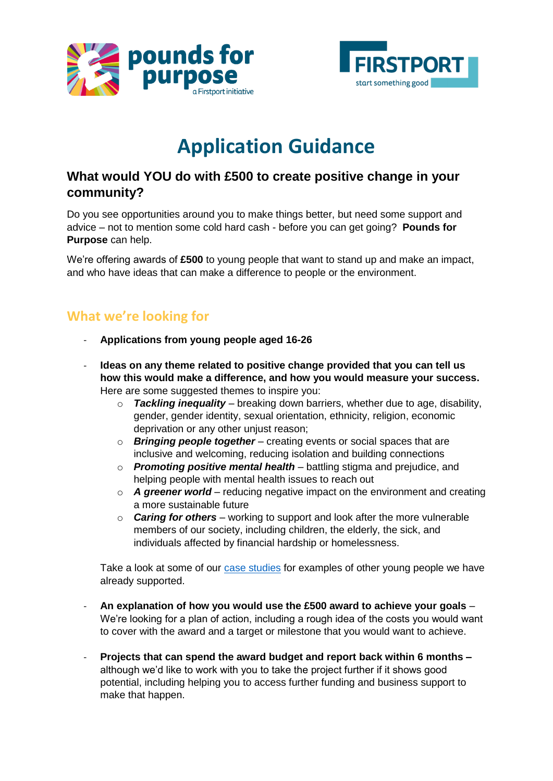



# **Application Guidance**

#### **What would YOU do with £500 to create positive change in your community?**

Do you see opportunities around you to make things better, but need some support and advice – not to mention some cold hard cash - before you can get going? **Pounds for Purpose** can help.

We're offering awards of **£500** to young people that want to stand up and make an impact, and who have ideas that can make a difference to people or the environment.

# **What we're looking for**

- **Applications from young people aged 16-26**
- **Ideas on any theme related to positive change provided that you can tell us how this would make a difference, and how you would measure your success.** Here are some suggested themes to inspire you:
	- $\circ$  **Tackling inequality** breaking down barriers, whether due to age, disability, gender, gender identity, sexual orientation, ethnicity, religion, economic deprivation or any other unjust reason;
	- o *Bringing people together* creating events or social spaces that are inclusive and welcoming, reducing isolation and building connections
	- o *Promoting positive mental health* battling stigma and prejudice, and helping people with mental health issues to reach out
	- o *A greener world* reducing negative impact on the environment and creating a more sustainable future
	- o *Caring for others* working to support and look after the more vulnerable members of our society, including children, the elderly, the sick, and individuals affected by financial hardship or homelessness.

Take a look at some of our [case studies](http://www.firstport.org.uk/category/case-studies/) for examples of other young people we have already supported.

- **An explanation of how you would use the £500 award to achieve your goals**  We're looking for a plan of action, including a rough idea of the costs you would want to cover with the award and a target or milestone that you would want to achieve.
- **Projects that can spend the award budget and report back within 6 months –** although we'd like to work with you to take the project further if it shows good potential, including helping you to access further funding and business support to make that happen.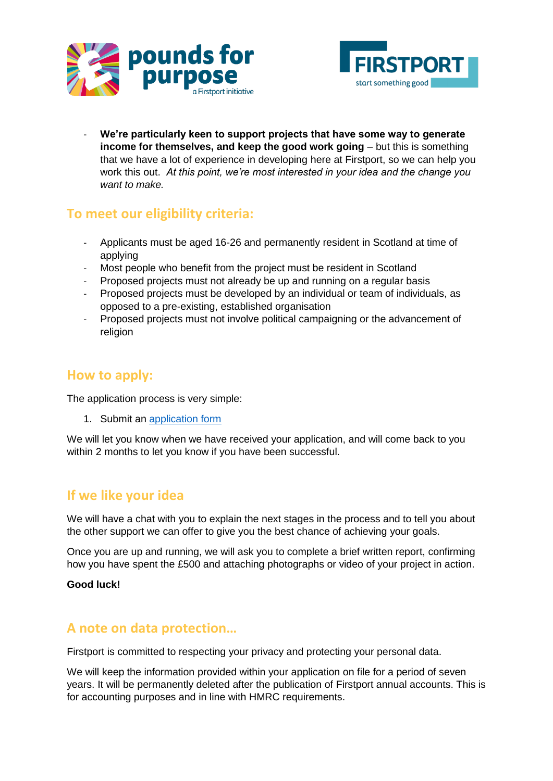



- **We're particularly keen to support projects that have some way to generate income for themselves, and keep the good work going** – but this is something that we have a lot of experience in developing here at Firstport, so we can help you work this out. *At this point, we're most interested in your idea and the change you want to make.*

### **To meet our eligibility criteria:**

- Applicants must be aged 16-26 and permanently resident in Scotland at time of applying
- Most people who benefit from the project must be resident in Scotland
- Proposed projects must not already be up and running on a regular basis
- Proposed projects must be developed by an individual or team of individuals, as opposed to a pre-existing, established organisation
- Proposed projects must not involve political campaigning or the advancement of religion

# **How to apply:**

The application process is very simple:

1. Submit an [application form](https://formstack.io/D0515)

We will let you know when we have received your application, and will come back to you within 2 months to let you know if you have been successful.

### **If we like your idea**

We will have a chat with you to explain the next stages in the process and to tell you about the other support we can offer to give you the best chance of achieving your goals.

Once you are up and running, we will ask you to complete a brief written report, confirming how you have spent the £500 and attaching photographs or video of your project in action.

#### **Good luck!**

#### **A note on data protection…**

Firstport is committed to respecting your privacy and protecting your personal data.

We will keep the information provided within your application on file for a period of seven years. It will be permanently deleted after the publication of Firstport annual accounts. This is for accounting purposes and in line with HMRC requirements.